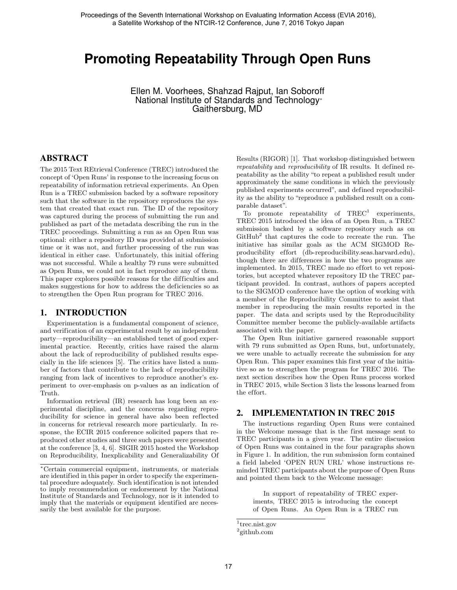# **Promoting Repeatability Through Open Runs**

Ellen M. Voorhees, Shahzad Rajput, Ian Soboroff National Institute of Standards and Technology<sup>∗</sup> Gaithersburg, MD

#### ABSTRACT

The 2015 Text REtrieval Conference (TREC) introduced the concept of 'Open Runs' in response to the increasing focus on repeatability of information retrieval experiments. An Open Run is a TREC submission backed by a software repository such that the software in the repository reproduces the system that created that exact run. The ID of the repository was captured during the process of submitting the run and published as part of the metadata describing the run in the TREC proceedings. Submitting a run as an Open Run was optional: either a repository ID was provided at submission time or it was not, and further processing of the run was identical in either case. Unfortunately, this initial offering was not successful. While a healthy 79 runs were submitted as Open Runs, we could not in fact reproduce any of them. This paper explores possible reasons for the difficulties and makes suggestions for how to address the deficiencies so as to strengthen the Open Run program for TREC 2016.

#### 1. INTRODUCTION

Experimentation is a fundamental component of science, and verification of an experimental result by an independent party—reproducibility—an established tenet of good experimental practice. Recently, critics have raised the alarm about the lack of reproducibility of published results especially in the life sciences [5]. The critics have listed a number of factors that contribute to the lack of reproducibility ranging from lack of incentives to reproduce another's experiment to over-emphasis on p-values as an indication of Truth.

Information retrieval (IR) research has long been an experimental discipline, and the concerns regarding reproducibility for science in general have also been reflected in concerns for retrieval research more particularly. In response, the ECIR 2015 conference solicited papers that reproduced other studies and three such papers were presented at the conference [3, 4, 6]. SIGIR 2015 hosted the Workshop on Reproducibility, Inexplicability and Generalizability Of Results (RIGOR) [1]. That workshop distinguished between repeatability and reproducibility of IR results. It defined repeatability as the ability "to repeat a published result under approximately the same conditions in which the previously published experiments occurred", and defined reproducibility as the ability to "reproduce a published result on a comparable dataset".

To promote repeatability of  $TREC^1$  experiments, TREC 2015 introduced the idea of an Open Run, a TREC submission backed by a software repository such as on GitHub<sup>2</sup> that captures the code to recreate the run. The initiative has similar goals as the ACM SIGMOD Reproducibility effort (db-reproducibility.seas.harvard.edu), though there are differences in how the two programs are implemented. In 2015, TREC made no effort to vet repositories, but accepted whatever repository ID the TREC participant provided. In contrast, authors of papers accepted to the SIGMOD conference have the option of working with a member of the Reproducibility Committee to assist that member in reproducing the main results reported in the paper. The data and scripts used by the Reproducibility Committee member become the publicly-available artifacts associated with the paper.

The Open Run initiative garnered reasonable support with 79 runs submitted as Open Runs, but, unfortunately, we were unable to actually recreate the submission for any Open Run. This paper examines this first year of the initiative so as to strengthen the program for TREC 2016. The next section describes how the Open Runs process worked in TREC 2015, while Section 3 lists the lessons learned from the effort.

#### 2. IMPLEMENTATION IN TREC 2015

The instructions regarding Open Runs were contained in the Welcome message that is the first message sent to TREC participants in a given year. The entire discussion of Open Runs was contained in the four paragraphs shown in Figure 1. In addition, the run submission form contained a field labeled 'OPEN RUN URL' whose instructions reminded TREC participants about the purpose of Open Runs and pointed them back to the Welcome message:

In support of repeatability of TREC experiments, TREC 2015 is introducing the concept of Open Runs. An Open Run is a TREC run

<sup>∗</sup>Certain commercial equipment, instruments, or materials are identified in this paper in order to specify the experimental procedure adequately. Such identification is not intended to imply recommendation or endorsement by the National Institute of Standards and Technology, nor is it intended to imply that the materials or equipment identified are necessarily the best available for the purpose.

<sup>1</sup> trec.nist.gov

<sup>2</sup> github.com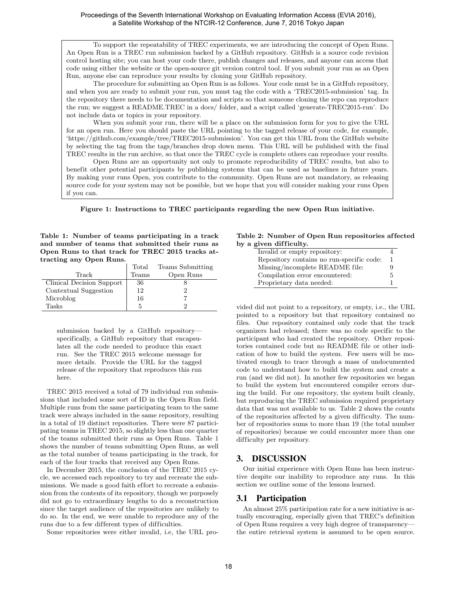To support the repeatability of TREC experiments, we are introducing the concept of Open Runs. An Open Run is a TREC run submission backed by a GitHub repository. GitHub is a source code revision control hosting site; you can host your code there, publish changes and releases, and anyone can access that code using either the website or the open-source git version control tool. If you submit your run as an Open Run, anyone else can reproduce your results by cloning your GitHub repository.

The procedure for submitting an Open Run is as follows. Your code must be in a GitHub repository, and when you are ready to submit your run, you must tag the code with a 'TREC2015-submission' tag. In the repository there needs to be documentation and scripts so that someone cloning the repo can reproduce the run; we suggest a README.TREC in a docs/ folder, and a script called 'generate-TREC2015-run'. Do not include data or topics in your repository.

When you submit your run, there will be a place on the submission form for you to give the URL for an open run. Here you should paste the URL pointing to the tagged release of your code, for example, 'https://github.com/example/tree/TREC2015-submission'. You can get this URL from the GitHub website by selecting the tag from the tags/branches drop down menu. This URL will be published with the final TREC results in the run archive, so that once the TREC cycle is complete others can reproduce your results.

Open Runs are an opportunity not only to promote reproducibility of TREC results, but also to benefit other potential participants by publishing systems that can be used as baselines in future years. By making your runs Open, you contribute to the community. Open Runs are not mandatory, as releasing source code for your system may not be possible, but we hope that you will consider making your runs Open if you can.

Figure 1: Instructions to TREC participants regarding the new Open Run initiative.

Table 1: Number of teams participating in a track and number of teams that submitted their runs as Open Runs to that track for TREC 2015 tracks attracting any Open Runs.

|                           | Total | Teams Submitting |
|---------------------------|-------|------------------|
| Track                     | Teams | Open Runs        |
| Clinical Decision Support | 36    |                  |
| Contextual Suggestion     | 12    |                  |
| Microblog                 | 16    |                  |
| Tasks                     | 5     |                  |

submission backed by a GitHub repository specifically, a GitHub repository that encapsulates all the code needed to produce this exact run. See the TREC 2015 welcome message for more details. Provide the URL for the tagged release of the repository that reproduces this run here.

TREC 2015 received a total of 79 individual run submissions that included some sort of ID in the Open Run field. Multiple runs from the same participating team to the same track were always included in the same repository, resulting in a total of 19 distinct repositories. There were 87 participating teams in TREC 2015, so slightly less than one quarter of the teams submitted their runs as Open Runs. Table 1 shows the number of teams submitting Open Runs, as well as the total number of teams participating in the track, for each of the four tracks that received any Open Runs.

In December 2015, the conclusion of the TREC 2015 cycle, we accessed each repository to try and recreate the submissions. We made a good faith effort to recreate a submission from the contents of its repository, though we purposely did not go to extraordinary lengths to do a reconstruction since the target audience of the repositories are unlikely to do so. In the end, we were unable to reproduce any of the runs due to a few different types of difficulties.

Some repositories were either invalid, i.e, the URL pro-

#### Table 2: Number of Open Run repositories af fected by a given difficulty.

| Invalid or empty repository:              |    |
|-------------------------------------------|----|
| Repository contains no run-specific code: | -1 |
| Missing/incomplete README file:           | 9  |
| Compilation error encountered:            | 5  |
| Proprietary data needed:                  |    |

vided did not point to a repository, or empty, i.e., the URL pointed to a repository but that repository contained no files. One repository contained only code that the track organizers had released; there was no code specific to the participant who had created the repository. Other repositories contained code but no README file or other indication of how to build the system. Few users will be motivated enough to trace through a mass of undocumented code to understand how to build the system and create a run (and we did not). In another few repositories we began to build the system but encountered compiler errors during the build. For one repository, the system built cleanly, but reproducing the TREC submission required proprietary data that was not available to us. Table 2 shows the counts of the repositories affected by a given difficulty. The number of repositories sums to more than 19 (the total number of repositories) because we could encounter more than one difficulty per repository.

#### 3. DISCUSSION

Our initial experience with Open Runs has been instructive despite our inability to reproduce any runs. In this section we outline some of the lessons learned.

#### 3.1 Participation

An almost 25% participation rate for a new initiative is actually encouraging, especially given that TREC's definition of Open Runs requires a very high degree of transparency the entire retrieval system is assumed to be open source.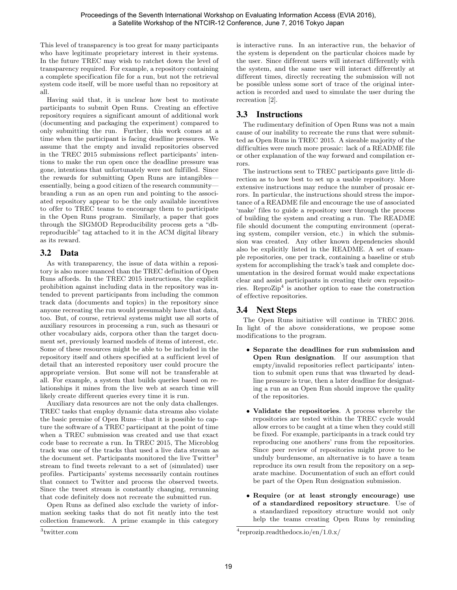This level of transparency is too great for many participants who have legitimate proprietary interest in their systems. In the future TREC may wish to ratchet down the level of transparency required. For example, a repository containing a complete specification file for a run, but not the retrieval system code itself, will be more useful than no repository at all.

Having said that, it is unclear how best to motivate participants to submit Open Runs. Creating an effective repository requires a significant amount of additional work (documenting and packaging the experiment) compared to only submitting the run. Further, this work comes at a time when the participant is facing deadline pressures. We assume that the empty and invalid repositories observed in the TREC 2015 submissions reflect participants' intentions to make the run open once the deadline pressure was gone, intentions that unfortunately were not fulfilled. Since the rewards for submitting Open Runs are intangibles essentially, being a good citizen of the research community branding a run as an open run and pointing to the associated repository appear to be the only available incentives to offer to TREC teams to encourage them to participate in the Open Runs program. Similarly, a paper that goes through the SIGMOD Reproducibility process gets a "dbreproducible" tag attached to it in the ACM digital library as its reward.

### 3.2 Data

As with transparency, the issue of data within a repository is also more nuanced than the TREC definition of Open Runs affords. In the TREC 2015 instructions, the explicit prohibition against including data in the repository was intended to prevent participants from including the common track data (documents and topics) in the repository since anyone recreating the run would presumably have that data, too. But, of course, retrieval systems might use all sorts of auxiliary resources in processing a run, such as thesauri or other vocabulary aids, corpora other than the target document set, previously learned models of items of interest, etc. Some of these resources might be able to be included in the repository itself and others specified at a sufficient level of detail that an interested repository user could procure the appropriate version. But some will not be transferable at all. For example, a system that builds queries based on relationships it mines from the live web at search time will likely create different queries every time it is run.

Auxiliary data resources are not the only data challenges. TREC tasks that employ dynamic data streams also violate the basic premise of Open Runs—that it is possible to capture the software of a TREC participant at the point of time when a TREC submission was created and use that exact code base to recreate a run. In TREC 2015, The Microblog track was one of the tracks that used a live data stream as the document set. Participants monitored the live Twitter<sup>3</sup> stream to find tweets relevant to a set of (simulated) user profiles. Participants' systems necessarily contain routines that connect to Twitter and process the observed tweets. Since the tweet stream is constantly changing, rerunning that code definitely does not recreate the submitted run.

Open Runs as defined also exclude the variety of information seeking tasks that do not fit neatly into the test collection framework. A prime example in this category

3 twitter.com

is interactive runs. In an interactive run, the behavior of the system is dependent on the particular choices made by the user. Since different users will interact differently with the system, and the same user will interact differently at different times, directly recreating the submission will not be possible unless some sort of trace of the original interaction is recorded and used to simulate the user during the recreation [2].

# 3.3 Instructions

The rudimentary definition of Open Runs was not a main cause of our inability to recreate the runs that were submitted as Open Runs in TREC 2015. A sizeable majority of the difficulties were much more prosaic: lack of a README file or other explanation of the way forward and compilation errors.

The instructions sent to TREC participants gave little direction as to how best to set up a usable repository. More extensive instructions may reduce the number of prosaic errors. In particular, the instructions should stress the importance of a README file and encourage the use of associated 'make' files to guide a repository user through the process of building the system and creating a run. The README file should document the computing environment (operating system, compiler version, etc.) in which the submission was created. Any other known dependencies should also be explicitly listed in the README. A set of example repositories, one per track, containing a baseline or stub system for accomplishing the track's task and complete documentation in the desired format would make expectations clear and assist participants in creating their own repositories. ReproZip<sup>4</sup> is another option to ease the construction of effective repositories.

# 3.4 Next Steps

The Open Runs initiative will continue in TREC 2016. In light of the above considerations, we propose some modifications to the program.

- Separate the deadlines for run submission and Open Run designation. If our assumption that empty/invalid repositories reflect participants' intention to submit open runs that was thwarted by deadline pressure is true, then a later deadline for designating a run as an Open Run should improve the quality of the repositories.
- Validate the repositories. A process whereby the repositories are tested within the TREC cycle would allow errors to be caught at a time when they could still be fixed. For example, participants in a track could try reproducing one anothers' runs from the repositories. Since peer review of repositories might prove to be unduly burdensome, an alternative is to have a team reproduce its own result from the repository on a separate machine. Documentation of such an effort could be part of the Open Run designation submission.
- Require (or at least strongly encourage) use of a standardized repository structure. Use of a standardized repository structure would not only help the teams creating Open Runs by reminding

<sup>4</sup> reprozip.readthedocs.io/en/1.0.x/